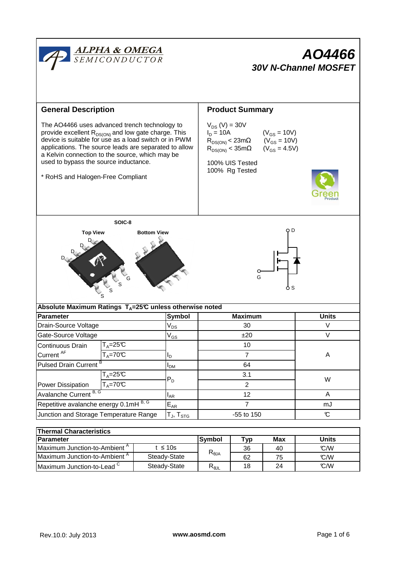

| i i nermai Unaracteristics               |              |                |                         |     |       |  |  |  |  |
|------------------------------------------|--------------|----------------|-------------------------|-----|-------|--|--|--|--|
| <b>Parameter</b>                         |              | lSvmbol        | $\mathbf{v}_\mathbf{D}$ | Max | Units |  |  |  |  |
| Maximum Junction-to-Ambient <sup>"</sup> | t ≤ 10s      | $R_{\theta$ JA | 36                      | 40  | C/M   |  |  |  |  |
| Maximum Junction-to-Ambient <sup>"</sup> | Steady-State |                | 62                      | 75  | C/M   |  |  |  |  |
| Maximum Junction-to-Lead $\sim$          | Steady-State | $R_{\theta$ JL | 18                      | 24  | C/M   |  |  |  |  |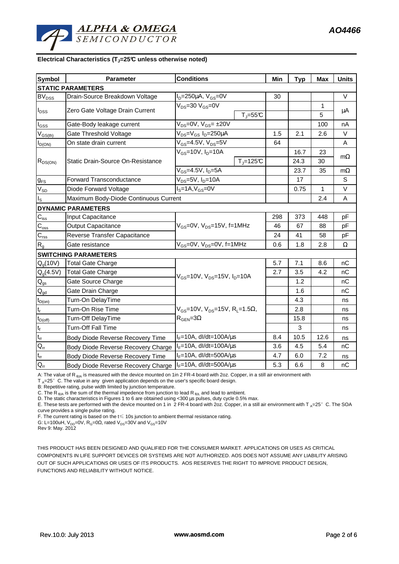

## **Electrical Characteristics (TJ=25°C unless otherwise noted)**

| <b>Symbol</b>               | <b>Parameter</b>                      | <b>Conditions</b>                                      | Min | <b>Typ</b> | Max  | <b>Units</b> |  |
|-----------------------------|---------------------------------------|--------------------------------------------------------|-----|------------|------|--------------|--|
|                             | <b>STATIC PARAMETERS</b>              |                                                        |     |            |      |              |  |
| <b>BV<sub>DSS</sub></b>     | Drain-Source Breakdown Voltage        | $I_D = 250 \mu A$ , $V_{GS} = 0V$                      | 30  |            |      | $\vee$       |  |
| $I_{DSS}$                   | Zero Gate Voltage Drain Current       | $V_{DS} = 30 V_{GS} = 0V$                              |     |            | 1    |              |  |
|                             |                                       | $T_J = 55C$                                            |     |            | 5    | μA           |  |
| I <sub>GSS</sub>            | Gate-Body leakage current             | $V_{DS} = 0V$ , $V_{GS} = \pm 20V$                     |     |            | 100  | nA           |  |
| $V_{GS(th)}$                | Gate Threshold Voltage                | V <sub>DS</sub> =V <sub>GS</sub> I <sub>D</sub> =250µA | 1.5 | 2.1        | 2.6  | $\vee$       |  |
| $I_{D(ON)}$                 | On state drain current                | $V_{GS}$ =4.5V, $V_{DS}$ =5V                           | 64  |            |      | A            |  |
| $R_{DS(ON)}$                | Static Drain-Source On-Resistance     | $V_{GS}$ =10V, $I_{D}$ =10A                            |     | 16.7       | 23   |              |  |
|                             |                                       | $TJ=125C$                                              |     | 24.3       | 30   | $m\Omega$    |  |
|                             |                                       | $V_{GS}$ =4.5V, $I_D$ =5A                              |     | 23.7       | 35   | $m\Omega$    |  |
| $g_{FS}$                    | <b>Forward Transconductance</b>       | $V_{DS}$ =5V, I <sub>D</sub> =10A                      |     | 17         |      | S            |  |
| $V_{SD}$                    | Diode Forward Voltage                 | $IS=1A, VGS=0V$                                        |     | 0.75       | 1    | $\vee$       |  |
| I <sub>S</sub>              | Maximum Body-Diode Continuous Current |                                                        |     |            | 2.4  | Α            |  |
|                             | <b>DYNAMIC PARAMETERS</b>             |                                                        |     |            |      |              |  |
| $\mathsf{C}_{\mathsf{iss}}$ | Input Capacitance                     |                                                        | 298 | 373        | 448  | pF           |  |
| $C_{\rm oss}$               | <b>Output Capacitance</b>             | V <sub>GS</sub> =0V, V <sub>DS</sub> =15V, f=1MHz      | 46  | 67         | 88   | pF           |  |
| $C_{\rm rss}$               | Reverse Transfer Capacitance          |                                                        | 24  | 41         | 58   | pF           |  |
| $R_{g}$                     | Gate resistance                       | $V_{GS}$ =0V, $V_{DS}$ =0V, f=1MHz                     | 0.6 | 1.8        | 2.8  | Ω            |  |
|                             | <b>SWITCHING PARAMETERS</b>           |                                                        |     |            |      |              |  |
| $Q_q(10V)$                  | <b>Total Gate Charge</b>              |                                                        | 5.7 | 7.1        | 8.6  | nC           |  |
| $Q_g(4.5V)$                 | <b>Total Gate Charge</b>              | $V_{GS}$ =10V, $V_{DS}$ =15V, $I_{D}$ =10A             | 2.7 | 3.5        | 4.2  | nC           |  |
| $\mathsf{Q}_{\text{gs}}$    | Gate Source Charge                    |                                                        |     | 1.2        |      | nC           |  |
| $Q_{\text{gd}}$             | Gate Drain Charge                     |                                                        |     | 1.6        |      | nC           |  |
| $t_{D(0n)}$                 | Turn-On DelayTime                     |                                                        |     | 4.3        |      | ns           |  |
| $t_r$                       | Turn-On Rise Time                     | $V_{GS}$ =10V, $V_{DS}$ =15V, R <sub>L</sub> =1.5Ω,    |     | 2.8        |      | ns           |  |
| $t_{D(off)}$                | Turn-Off DelayTime                    | $R_{\text{GEN}} = 3\Omega$                             |     | 15.8       |      | ns           |  |
| $\mathfrak{t}_{\mathsf{f}}$ | Turn-Off Fall Time                    |                                                        |     | 3          |      | ns           |  |
| $\mathfrak{t}_{\text{rr}}$  | Body Diode Reverse Recovery Time      | $I_F = 10A$ , dl/dt=100A/ $\mu$ s                      | 8.4 | 10.5       | 12.6 | ns           |  |
| $Q_{rr}$                    | Body Diode Reverse Recovery Charge    | $I_F = 10A$ , dl/dt=100A/ $\mu$ s                      | 3.6 | 4.5        | 5.4  | nС           |  |
| $t_{rr}$                    | Body Diode Reverse Recovery Time      | $I_F = 10A$ , dl/dt=500A/ $\mu$ s                      | 4.7 | 6.0        | 7.2  | ns           |  |
| $Q_{\rm r}$                 | Body Diode Reverse Recovery Charge    | $I_F = 10A$ , dl/dt=500A/ $\mu$ s                      | 5.3 | 6.6        | 8    | nC           |  |

A: The value of R<sub>6JA</sub> is measured with the device mounted on 1in 2 FR-4 board with 2oz. Copper, in a still air environment with

 $T_A=25^\circ$  C. The value in any given application depends on the user's specific board design.

B: Repetitive rating, pulse width limited by junction temperature.

C. The R<sub>BA</sub> is the sum of the thermal impedence from junction to lead R<sub>BIL</sub> and lead to ambient.

D. The static characteristics in Figures 1 to 6 are obtained using <300 µs pulses, duty cycle 0.5% max.

E. These tests are performed with the device mounted on 1 in 2 FR-4 board with 2oz. Copper, in a still air environment with T  $_A=25^\circ$  C. The SOA curve provides a single pulse rating.

F. The current rating is based on the  $t \leq 10$ s junction to ambient thermal resistance rating.

G: L=100uH, V<sub>DD</sub>=0V, R<sub>G</sub>=0Ω, rated V<sub>DS</sub>=30V and V<sub>GS</sub>=10V

Rev 9: May. 2012

THIS PRODUCT HAS BEEN DESIGNED AND QUALIFIED FOR THE CONSUMER MARKET. APPLICATIONS OR USES AS CRITICAL COMPONENTS IN LIFE SUPPORT DEVICES OR SYSTEMS ARE NOT AUTHORIZED. AOS DOES NOT ASSUME ANY LIABILITY ARISING OUT OF SUCH APPLICATIONS OR USES OF ITS PRODUCTS. AOS RESERVES THE RIGHT TO IMPROVE PRODUCT DESIGN, FUNCTIONS AND RELIABILITY WITHOUT NOTICE.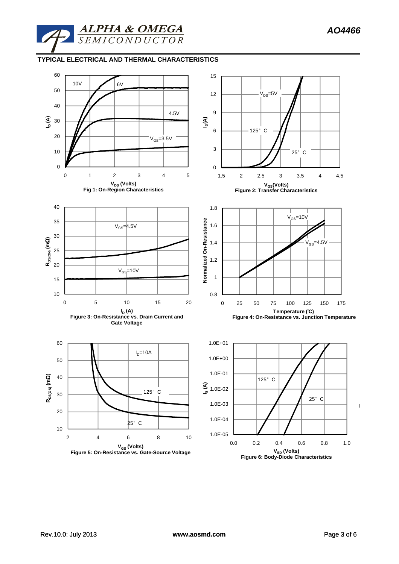### **TYPICAL ELECTRICAL AND THERMAL CHARACTERISTICS**

**ALPHA & OMEGA**<br>SEMICONDUCTOR

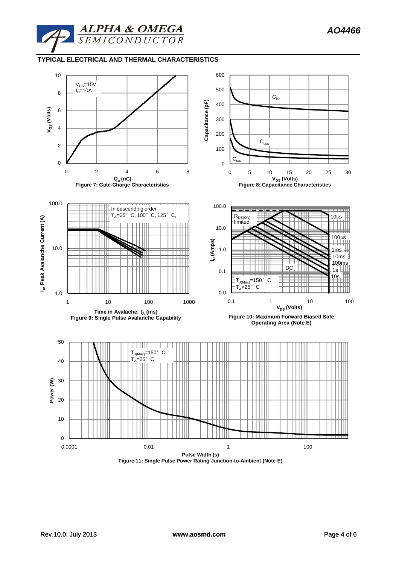

# **TYPICAL ELECTRICAL AND THERMAL CHARACTERISTICS**



**Figure 11: Single Pulse Power Rating Junction-to-Ambient (Note E)**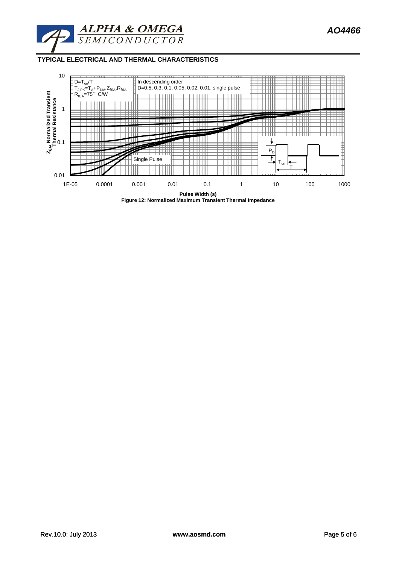

**TYPICAL ELECTRICAL AND THERMAL CHARACTERISTICS**



**Figure 12: Normalized Maximum Transient Thermal Impedance**